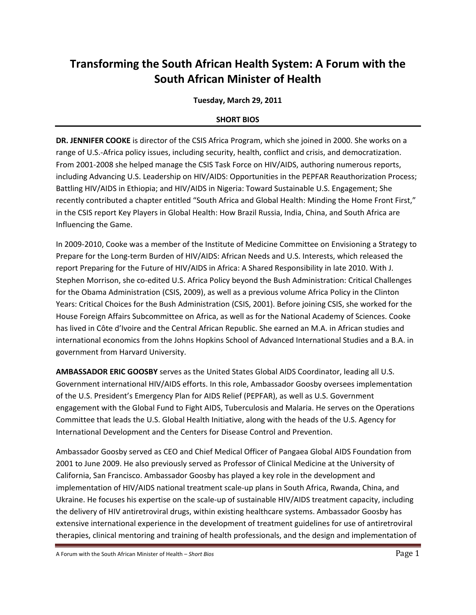## **Transforming the South African Health System: A Forum with the South African Minister of Health**

## **Tuesday, March 29, 2011**

## **SHORT BIOS**

**DR. JENNIFER COOKE** is director of the CSIS Africa Program, which she joined in 2000. She works on a range of U.S.-Africa policy issues, including security, health, conflict and crisis, and democratization. From 2001-2008 she helped manage the CSIS Task Force on HIV/AIDS, authoring numerous reports, including Advancing U.S. Leadership on HIV/AIDS: Opportunities in the PEPFAR Reauthorization Process; Battling HIV/AIDS in Ethiopia; and HIV/AIDS in Nigeria: Toward Sustainable U.S. Engagement; She recently contributed a chapter entitled "South Africa and Global Health: Minding the Home Front First," in the CSIS report Key Players in Global Health: How Brazil Russia, India, China, and South Africa are Influencing the Game.

In 2009-2010, Cooke was a member of the Institute of Medicine Committee on Envisioning a Strategy to Prepare for the Long-term Burden of HIV/AIDS: African Needs and U.S. Interests, which released the report Preparing for the Future of HIV/AIDS in Africa: A Shared Responsibility in late 2010. With J. Stephen Morrison, she co-edited U.S. Africa Policy beyond the Bush Administration: Critical Challenges for the Obama Administration (CSIS, 2009), as well as a previous volume Africa Policy in the Clinton Years: Critical Choices for the Bush Administration (CSIS, 2001). Before joining CSIS, she worked for the House Foreign Affairs Subcommittee on Africa, as well as for the National Academy of Sciences. Cooke has lived in Côte d'Ivoire and the Central African Republic. She earned an M.A. in African studies and international economics from the Johns Hopkins School of Advanced International Studies and a B.A. in government from Harvard University.

**AMBASSADOR ERIC GOOSBY** serves as the United States Global AIDS Coordinator, leading all U.S. Government international HIV/AIDS efforts. In this role, Ambassador Goosby oversees implementation of the U.S. President's Emergency Plan for AIDS Relief (PEPFAR), as well as U.S. Government engagement with the Global Fund to Fight AIDS, Tuberculosis and Malaria. He serves on the Operations Committee that leads the U.S. Global Health Initiative, along with the heads of the U.S. Agency for International Development and the Centers for Disease Control and Prevention.

Ambassador Goosby served as CEO and Chief Medical Officer of Pangaea Global AIDS Foundation from 2001 to June 2009. He also previously served as Professor of Clinical Medicine at the University of California, San Francisco. Ambassador Goosby has played a key role in the development and implementation of HIV/AIDS national treatment scale-up plans in South Africa, Rwanda, China, and Ukraine. He focuses his expertise on the scale-up of sustainable HIV/AIDS treatment capacity, including the delivery of HIV antiretroviral drugs, within existing healthcare systems. Ambassador Goosby has extensive international experience in the development of treatment guidelines for use of antiretroviral therapies, clinical mentoring and training of health professionals, and the design and implementation of

A Forum with the South African Minister of Health – *Short Bios* Page 1